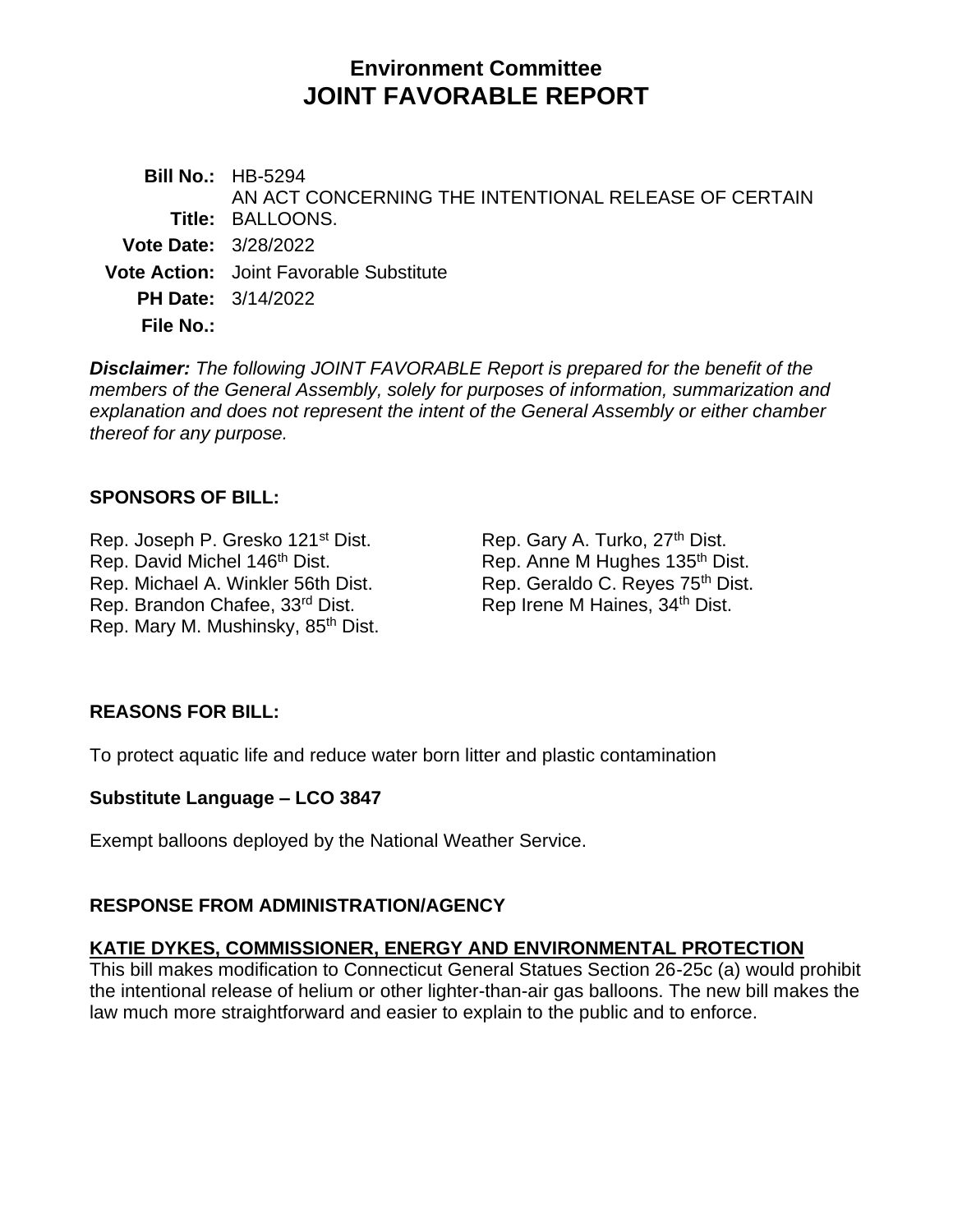# **Environment Committee JOINT FAVORABLE REPORT**

**Bill No.:** HB-5294 **Title:** BALLOONS. AN ACT CONCERNING THE INTENTIONAL RELEASE OF CERTAIN **Vote Date:** 3/28/2022 **Vote Action:** Joint Favorable Substitute **PH Date:** 3/14/2022 **File No.:**

*Disclaimer: The following JOINT FAVORABLE Report is prepared for the benefit of the members of the General Assembly, solely for purposes of information, summarization and explanation and does not represent the intent of the General Assembly or either chamber thereof for any purpose.*

## **SPONSORS OF BILL:**

Rep. Joseph P. Gresko 121<sup>st</sup> Dist. Rep. Gary A. Turko, 27<sup>th</sup> Dist. Rep. David Michel 146<sup>th</sup> Dist. Rep. Anne M Hughes 135<sup>th</sup> Dist. Rep. Michael A. Winkler 56th Dist. Rep. Geraldo C. Reyes 75<sup>th</sup> Dist. Rep. Brandon Chafee, 33<sup>rd</sup> Dist. Rep Irene M Haines, 34<sup>th</sup> Dist. Rep. Mary M. Mushinsky, 85<sup>th</sup> Dist.

# **REASONS FOR BILL:**

To protect aquatic life and reduce water born litter and plastic contamination

## **Substitute Language – LCO 3847**

Exempt balloons deployed by the National Weather Service.

## **RESPONSE FROM ADMINISTRATION/AGENCY**

## **KATIE DYKES, COMMISSIONER, ENERGY AND ENVIRONMENTAL PROTECTION**

This bill makes modification to Connecticut General Statues Section 26-25c (a) would prohibit the intentional release of helium or other lighter-than-air gas balloons. The new bill makes the law much more straightforward and easier to explain to the public and to enforce.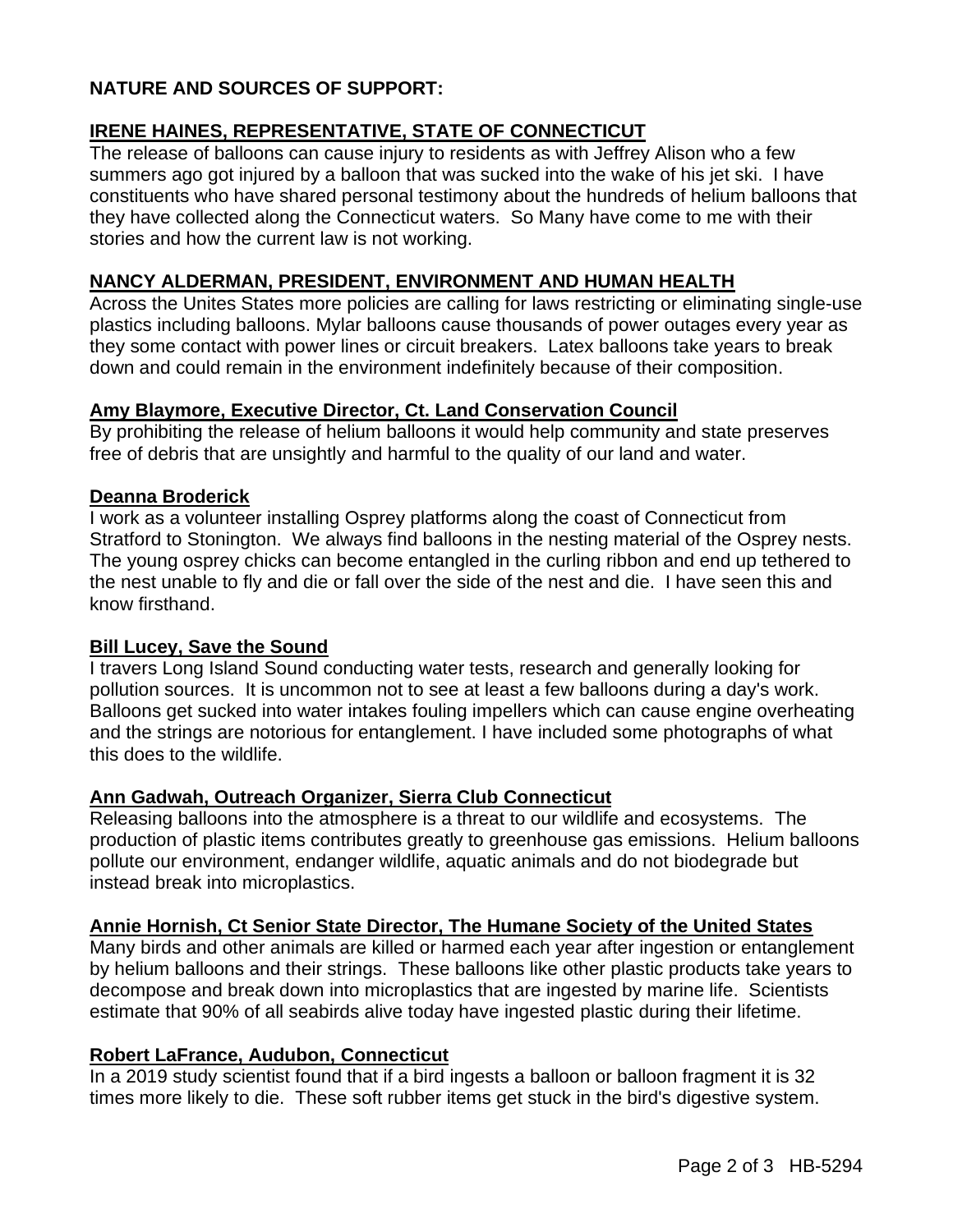# **NATURE AND SOURCES OF SUPPORT:**

# **IRENE HAINES, REPRESENTATIVE, STATE OF CONNECTICUT**

The release of balloons can cause injury to residents as with Jeffrey Alison who a few summers ago got injured by a balloon that was sucked into the wake of his jet ski. I have constituents who have shared personal testimony about the hundreds of helium balloons that they have collected along the Connecticut waters. So Many have come to me with their stories and how the current law is not working.

### **NANCY ALDERMAN, PRESIDENT, ENVIRONMENT AND HUMAN HEALTH**

Across the Unites States more policies are calling for laws restricting or eliminating single-use plastics including balloons. Mylar balloons cause thousands of power outages every year as they some contact with power lines or circuit breakers. Latex balloons take years to break down and could remain in the environment indefinitely because of their composition.

#### **Amy Blaymore, Executive Director, Ct. Land Conservation Council**

By prohibiting the release of helium balloons it would help community and state preserves free of debris that are unsightly and harmful to the quality of our land and water.

#### **Deanna Broderick**

I work as a volunteer installing Osprey platforms along the coast of Connecticut from Stratford to Stonington. We always find balloons in the nesting material of the Osprey nests. The young osprey chicks can become entangled in the curling ribbon and end up tethered to the nest unable to fly and die or fall over the side of the nest and die. I have seen this and know firsthand.

#### **Bill Lucey, Save the Sound**

I travers Long Island Sound conducting water tests, research and generally looking for pollution sources. It is uncommon not to see at least a few balloons during a day's work. Balloons get sucked into water intakes fouling impellers which can cause engine overheating and the strings are notorious for entanglement. I have included some photographs of what this does to the wildlife.

#### **Ann Gadwah, Outreach Organizer, Sierra Club Connecticut**

Releasing balloons into the atmosphere is a threat to our wildlife and ecosystems. The production of plastic items contributes greatly to greenhouse gas emissions. Helium balloons pollute our environment, endanger wildlife, aquatic animals and do not biodegrade but instead break into microplastics.

#### **Annie Hornish, Ct Senior State Director, The Humane Society of the United States**

Many birds and other animals are killed or harmed each year after ingestion or entanglement by helium balloons and their strings. These balloons like other plastic products take years to decompose and break down into microplastics that are ingested by marine life. Scientists estimate that 90% of all seabirds alive today have ingested plastic during their lifetime.

#### **Robert LaFrance, Audubon, Connecticut**

In a 2019 study scientist found that if a bird ingests a balloon or balloon fragment it is 32 times more likely to die. These soft rubber items get stuck in the bird's digestive system.